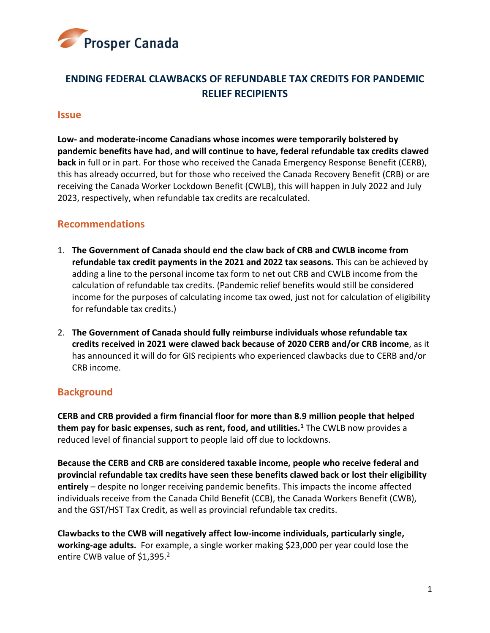

# **ENDING FEDERAL CLAWBACKS OF REFUNDABLE TAX CREDITS FOR PANDEMIC RELIEF RECIPIENTS**

#### **Issue**

**Low- and moderate-income Canadians whose incomes were temporarily bolstered by pandemic benefits have had, and will continue to have, federal refundable tax credits clawed back** in full or in part. For those who received the Canada Emergency Response Benefit (CERB), this has already occurred, but for those who received the Canada Recovery Benefit (CRB) or are receiving the Canada Worker Lockdown Benefit (CWLB), this will happen in July 2022 and July 2023, respectively, when refundable tax credits are recalculated.

### **Recommendations**

- 1. **The Government of Canada should end the claw back of CRB and CWLB income from refundable tax credit payments in the 2021 and 2022 tax seasons.** This can be achieved by adding a line to the personal income tax form to net out CRB and CWLB income from the calculation of refundable tax credits. (Pandemic relief benefits would still be considered income for the purposes of calculating income tax owed, just not for calculation of eligibility for refundable tax credits.)
- 2. **The Government of Canada should fully reimburse individuals whose refundable tax credits received in 2021 were clawed back because of 2020 CERB and/or CRB income**, as it has announced it will do for GIS recipients who experienced clawbacks due to CERB and/or CRB income.

### **Background**

**CERB and CRB provided a firm financial floor for more than 8.9 million people that helped them pay for basic expenses, such as rent, food, and utilities.<sup>1</sup>** The CWLB now provides a reduced level of financial support to people laid off due to lockdowns.

**Because the CERB and CRB are considered taxable income, people who receive federal and provincial refundable tax credits have seen these benefits clawed back or lost their eligibility entirely** – despite no longer receiving pandemic benefits. This impacts the income affected individuals receive from the Canada Child Benefit (CCB), the Canada Workers Benefit (CWB), and the GST/HST Tax Credit, as well as provincial refundable tax credits.

**Clawbacks to the CWB will negatively affect low-income individuals, particularly single, working-age adults.** For example, a single worker making \$23,000 per year could lose the entire CWB value of \$1,395.<sup>2</sup>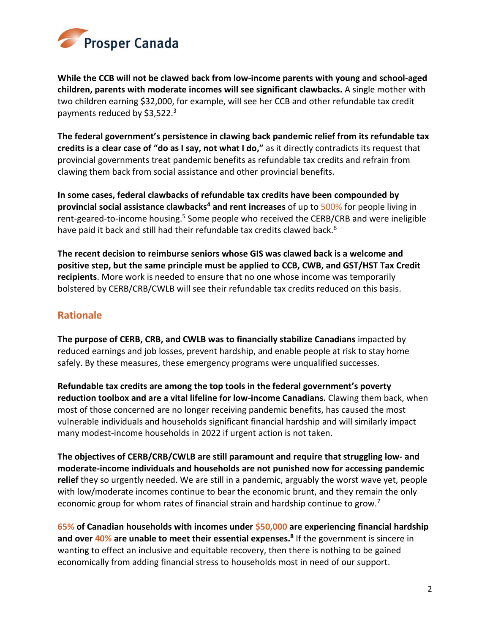

**While the CCB will not be clawed back from low-income parents with young and school-aged children, parents with moderate incomes will see significant clawbacks.** A single mother with two children earning \$32,000, for example, will see her CCB and other refundable tax credit payments reduced by \$3,522.<sup>3</sup>

**The federal government's persistence in clawing back pandemic relief from its refundable tax credits is a clear case of "do as I say, not what I do,"** as it directly contradicts its request that provincial governments treat pandemic benefits as refundable tax credits and refrain from clawing them back from social assistance and other provincial benefits.

**In some cases, federal clawbacks of refundable tax credits have been compounded by provincial social assistance clawbacks<sup>4</sup> and rent increases** of up to 500% for people living in rent-geared-to-income housing.<sup>5</sup> Some people who received the CERB/CRB and were ineligible have paid it back and still had their refundable tax credits clawed back.<sup>6</sup>

**The recent decision to reimburse seniors whose GIS was clawed back is a welcome and positive step, but the same principle must be applied to CCB, CWB, and GST/HST Tax Credit recipients**. More work is needed to ensure that no one whose income was temporarily bolstered by CERB/CRB/CWLB will see their refundable tax credits reduced on this basis.

## **Rationale**

**The purpose of CERB, CRB, and CWLB was to financially stabilize Canadians** impacted by reduced earnings and job losses, prevent hardship, and enable people at risk to stay home safely. By these measures, these emergency programs were unqualified successes.

**Refundable tax credits are among the top tools in the federal government's poverty reduction toolbox and are a vital lifeline for low-income Canadians.** Clawing them back, when most of those concerned are no longer receiving pandemic benefits, has caused the most vulnerable individuals and households significant financial hardship and will similarly impact many modest-income households in 2022 if urgent action is not taken.

**The objectives of CERB/CRB/CWLB are still paramount and require that struggling low- and moderate-income individuals and households are not punished now for accessing pandemic relief** they so urgently needed. We are still in a pandemic, arguably the worst wave yet, people with low/moderate incomes continue to bear the economic brunt, and they remain the only economic group for whom rates of financial strain and hardship continue to grow.<sup>7</sup>

**65% of Canadian households with incomes under \$50,000 are experiencing financial hardship and over 40% are unable to meet their essential expenses.<sup>8</sup>** If the government is sincere in wanting to effect an inclusive and equitable recovery, then there is nothing to be gained economically from adding financial stress to households most in need of our support.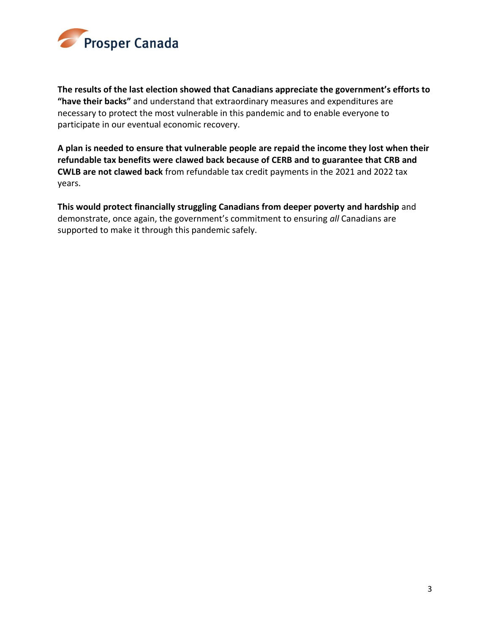

**The results of the last election showed that Canadians appreciate the government's efforts to "have their backs"** and understand that extraordinary measures and expenditures are necessary to protect the most vulnerable in this pandemic and to enable everyone to participate in our eventual economic recovery.

**A plan is needed to ensure that vulnerable people are repaid the income they lost when their refundable tax benefits were clawed back because of CERB and to guarantee that CRB and CWLB are not clawed back** from refundable tax credit payments in the 2021 and 2022 tax years.

**This would protect financially struggling Canadians from deeper poverty and hardship** and demonstrate, once again, the government's commitment to ensuring *all* Canadians are supported to make it through this pandemic safely.